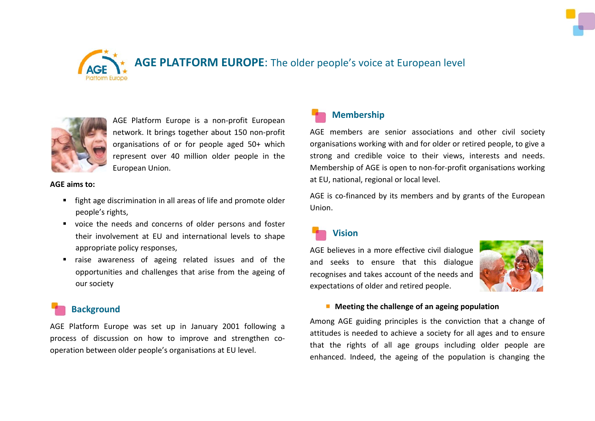



## **AGE PLATFORM EUROPE**: The older people's voice at European level



AGE Platform Europe is a non-profit European network. It brings together about 150 non-profit organisations of or for people aged 50+ which represent over 40 million older people in the European Union.

**AGE aims to:**

- **Fight age discrimination in all areas of life and promote older** people's rights,
- voice the needs and concerns of older persons and foster their involvement at EU and international levels to shape appropriate policy responses,
- **E** raise awareness of ageing related issues and of the opportunities and challenges that arise from the ageing of our society

### **Background**

AGE Platform Europe was set up in January 2001 following a process of discussion on how to improve and strengthen cooperation between older people's organisations at EU level.



### **Membership**

AGE members are senior associations and other civil society organisations working with and for older or retired people, to give a strong and credible voice to their views, interests and needs. Membership of AGE is open to non-for-profit organisations working at EU, national, regional or local level.

AGE is co-financed by its members and by grants of the European Union.

# **Vision**

AGE believes in a more effective civil dialogue and seeks to ensure that this dialogue recognises and takes account of the needs and expectations of older and retired people.



#### **Meeting the challenge of an ageing population**

Among AGE guiding principles is the conviction that a change of attitudes is needed to achieve a society for all ages and to ensure that the rights of all age groups including older people are enhanced. Indeed, the ageing of the population is changing the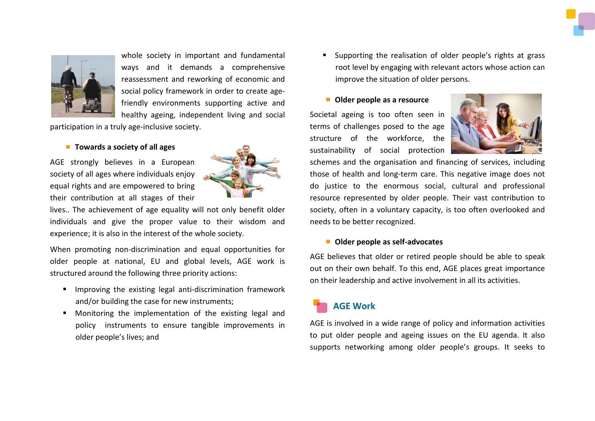

whole society in important and fundamental ways and it demands a comprehensive reassessment and reworking of economic and social policy framework in order to create agefriendly environments supporting active and healthy ageing, independent living and social

participation in a truly age-inclusive society.

#### ■ **Towards a society of all ages**

AGE strongly believes in a European society of all ages where individuals enjoy equal rights and are empowered to bring their contribution at all stages of their



lives.. The achievement of age equality will not only benefit older individuals and give the proper value to their wisdom and experience; it is also in the interest of the whole society.

When promoting non-discrimination and equal opportunities for older people at national, EU and global levels, AGE work is structured around the following three priority actions:

- **IMPROVIGUATH:** Improving the existing legal anti-discrimination framework and/or building the case for new instruments;
- **Monitoring the implementation of the existing legal and** policy instruments to ensure tangible improvements in older people's lives; and

 Supporting the realisation of older people's rights at grass root level by engaging with relevant actors whose action can improve the situation of older persons.

#### **Older people as a resource**

Societal ageing is too often seen in terms of challenges posed to the age structure of the workforce, the sustainability of social protection



schemes and the organisation and financing of services, including those of health and long-term care. This negative image does not do justice to the enormous social, cultural and professional resource represented by older people. Their vast contribution to society, often in a voluntary capacity, is too often overlooked and needs to be better recognized.

#### **Older people as self-advocates**

AGE believes that older or retired people should be able to speak out on their own behalf. To this end, AGE places great importance on their leadership and active involvement in all its activities.

### **AGE Work**

AGE is involved in a wide range of policy and information activities to put older people and ageing issues on the EU agenda. It also supports networking among older people's groups. It seeks to